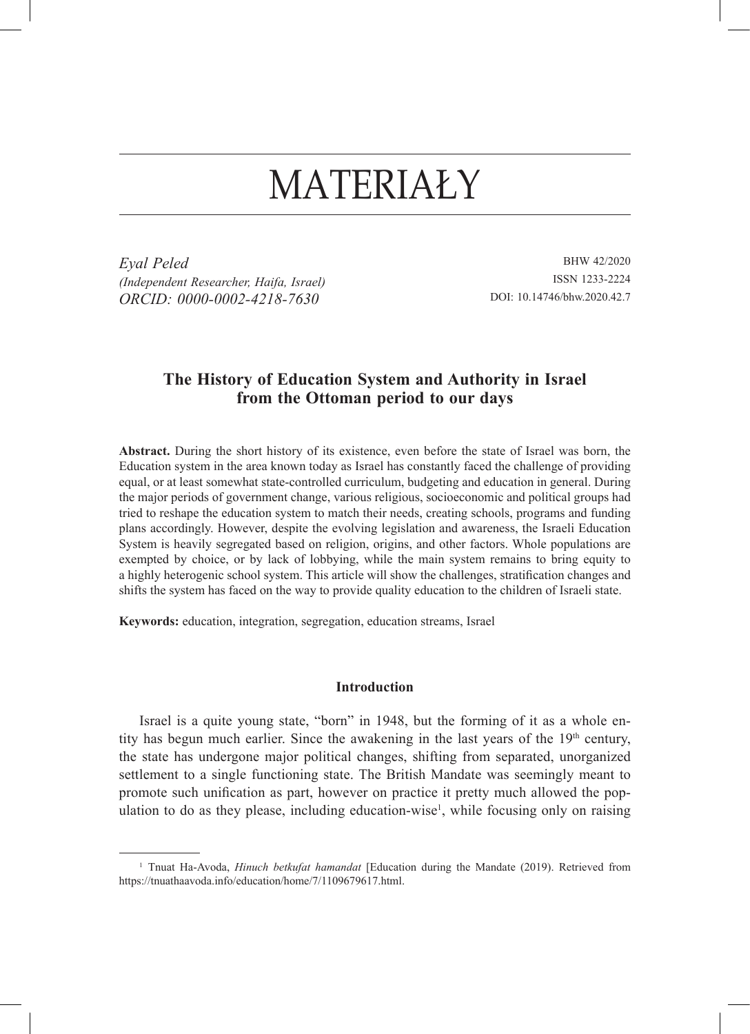# MATERIAŁY

*Eyal Peled (Independent Researcher, Haifa, Israel) ORCID: 0000-0002-4218-7630*

BHW 42/2020 ISSN 1233-2224 DOI: 10.14746/bhw.2020.42.7

## **The History of Education System and Authority in Israel from the Ottoman period to our days**

**Abstract.** During the short history of its existence, even before the state of Israel was born, the Education system in the area known today as Israel has constantly faced the challenge of providing equal, or at least somewhat state-controlled curriculum, budgeting and education in general. During the major periods of government change, various religious, socioeconomic and political groups had tried to reshape the education system to match their needs, creating schools, programs and funding plans accordingly. However, despite the evolving legislation and awareness, the Israeli Education System is heavily segregated based on religion, origins, and other factors. Whole populations are exempted by choice, or by lack of lobbying, while the main system remains to bring equity to a highly heterogenic school system. This article will show the challenges, stratification changes and shifts the system has faced on the way to provide quality education to the children of Israeli state.

**Keywords:** education, integration, segregation, education streams, Israel

### **Introduction**

Israel is a quite young state, "born" in 1948, but the forming of it as a whole entity has begun much earlier. Since the awakening in the last years of the  $19<sup>th</sup>$  century, the state has undergone major political changes, shifting from separated, unorganized settlement to a single functioning state. The British Mandate was seemingly meant to promote such unification as part, however on practice it pretty much allowed the population to do as they please, including education-wise<sup>1</sup>, while focusing only on raising

<sup>1</sup> Tnuat Ha-Avoda, *Hinuch betkufat hamandat* [Education during the Mandate (2019). Retrieved from https://tnuathaavoda.info/education/home/7/1109679617.html.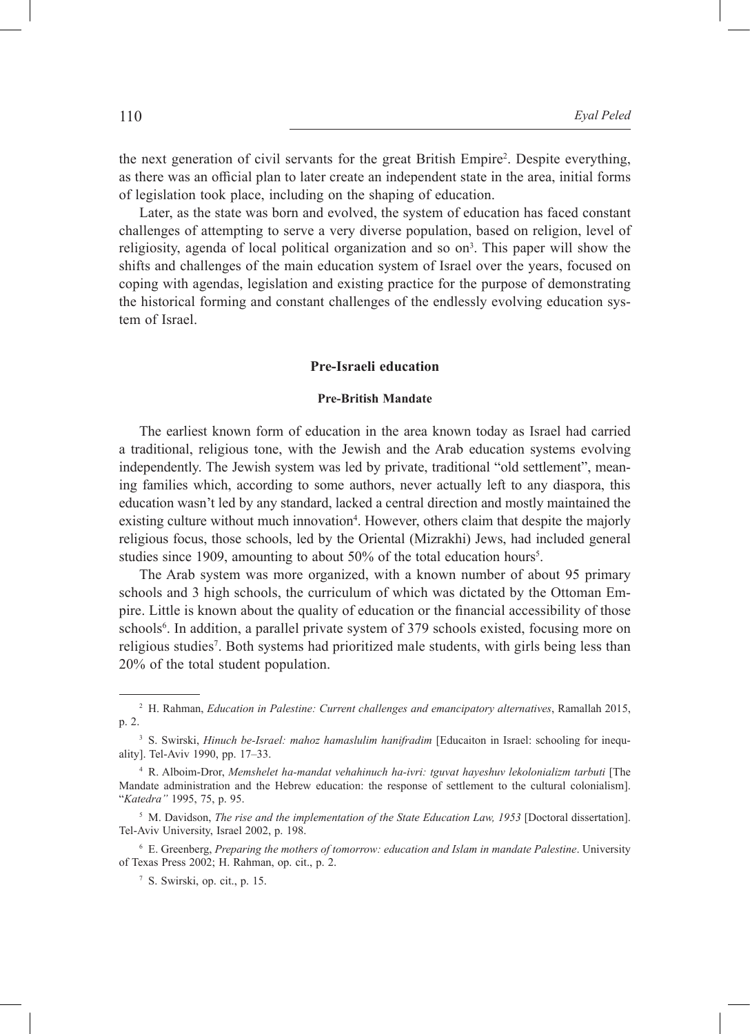the next generation of civil servants for the great British Empire<sup>2</sup>. Despite everything, as there was an official plan to later create an independent state in the area, initial forms of legislation took place, including on the shaping of education.

Later, as the state was born and evolved, the system of education has faced constant challenges of attempting to serve a very diverse population, based on religion, level of religiosity, agenda of local political organization and so on<sup>3</sup>. This paper will show the shifts and challenges of the main education system of Israel over the years, focused on coping with agendas, legislation and existing practice for the purpose of demonstrating the historical forming and constant challenges of the endlessly evolving education system of Israel.

## **Pre-Israeli education**

## **Pre-British Mandate**

The earliest known form of education in the area known today as Israel had carried a traditional, religious tone, with the Jewish and the Arab education systems evolving independently. The Jewish system was led by private, traditional "old settlement", meaning families which, according to some authors, never actually left to any diaspora, this education wasn't led by any standard, lacked a central direction and mostly maintained the existing culture without much innovation<sup>4</sup>. However, others claim that despite the majorly religious focus, those schools, led by the Oriental (Mizrakhi) Jews, had included general studies since 1909, amounting to about 50% of the total education hours<sup>5</sup>.

The Arab system was more organized, with a known number of about 95 primary schools and 3 high schools, the curriculum of which was dictated by the Ottoman Empire. Little is known about the quality of education or the financial accessibility of those schools<sup>6</sup>. In addition, a parallel private system of 379 schools existed, focusing more on religious studies<sup>7</sup>. Both systems had prioritized male students, with girls being less than 20% of the total student population.

<sup>2</sup> H. Rahman, *Education in Palestine: Current challenges and emancipatory alternatives*, Ramallah 2015, p. 2.

<sup>&</sup>lt;sup>3</sup> S. Swirski, *Hinuch be-Israel: mahoz hamaslulim hanifradim* [Educaiton in Israel: schooling for inequality]. Tel-Aviv 1990, pp. 17–33.

<sup>4</sup> R. Alboim-Dror, *Memshelet ha-mandat vehahinuch ha-ivri: tguvat hayeshuv lekolonializm tarbuti* [The Mandate administration and the Hebrew education: the response of settlement to the cultural colonialism]. "*Katedra"* 1995, 75, p. 95.

<sup>5</sup> M. Davidson, *The rise and the implementation of the State Education Law, 1953* [Doctoral dissertation]. Tel-Aviv University, Israel 2002, p. 198.

<sup>6</sup> E. Greenberg, *Preparing the mothers of tomorrow: education and Islam in mandate Palestine*. University of Texas Press 2002; H. Rahman, op. cit., p. 2.

<sup>7</sup> S. Swirski, op. cit., p. 15.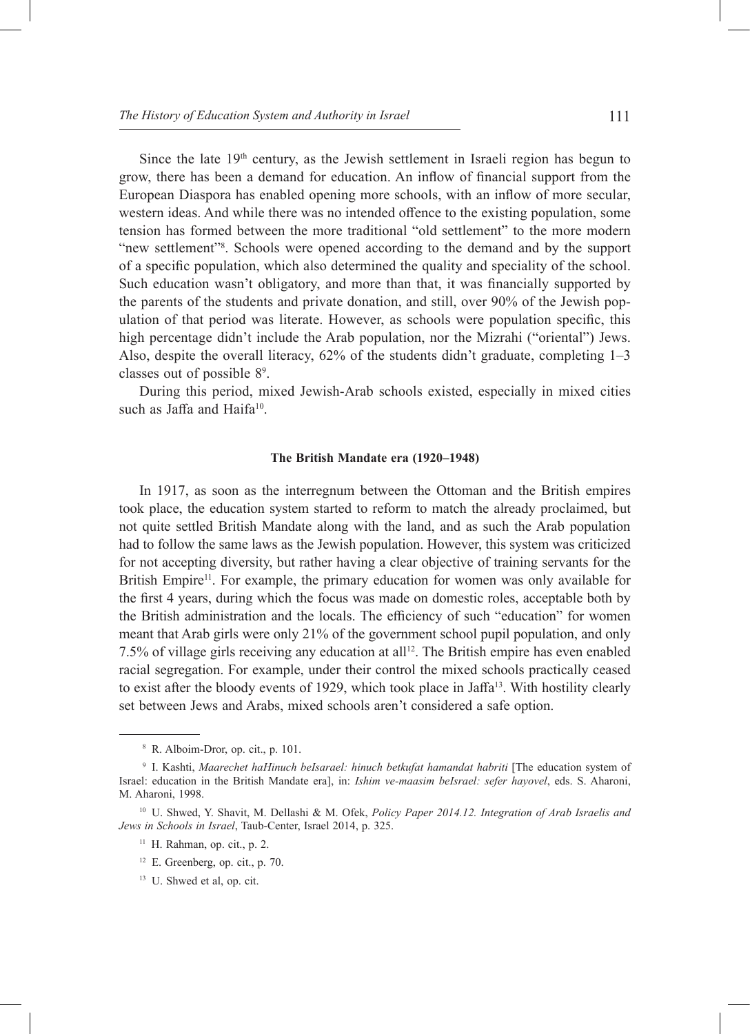Since the late  $19<sup>th</sup>$  century, as the Jewish settlement in Israeli region has begun to grow, there has been a demand for education. An inflow of financial support from the European Diaspora has enabled opening more schools, with an inflow of more secular, western ideas. And while there was no intended offence to the existing population, some tension has formed between the more traditional "old settlement" to the more modern "new settlement"<sup>8</sup>. Schools were opened according to the demand and by the support of a specific population, which also determined the quality and speciality of the school. Such education wasn't obligatory, and more than that, it was financially supported by the parents of the students and private donation, and still, over 90% of the Jewish population of that period was literate. However, as schools were population specific, this high percentage didn't include the Arab population, nor the Mizrahi ("oriental") Jews. Also, despite the overall literacy, 62% of the students didn't graduate, completing 1–3 classes out of possible 8<sup>9</sup> .

During this period, mixed Jewish-Arab schools existed, especially in mixed cities such as Jaffa and Haifa<sup>10</sup>.

#### **The British Mandate era (1920–1948)**

In 1917, as soon as the interregnum between the Ottoman and the British empires took place, the education system started to reform to match the already proclaimed, but not quite settled British Mandate along with the land, and as such the Arab population had to follow the same laws as the Jewish population. However, this system was criticized for not accepting diversity, but rather having a clear objective of training servants for the British Empire<sup>11</sup>. For example, the primary education for women was only available for the first 4 years, during which the focus was made on domestic roles, acceptable both by the British administration and the locals. The efficiency of such "education" for women meant that Arab girls were only 21% of the government school pupil population, and only 7.5% of village girls receiving any education at all<sup>12</sup>. The British empire has even enabled racial segregation. For example, under their control the mixed schools practically ceased to exist after the bloody events of 1929, which took place in Jaffa<sup>13</sup>. With hostility clearly set between Jews and Arabs, mixed schools aren't considered a safe option.

<sup>8</sup> R. Alboim-Dror, op. cit., p. 101.

<sup>9</sup> I. Kashti, *Maarechet haHinuch beIsarael: hinuch betkufat hamandat habriti* [The education system of Israel: education in the British Mandate era], in: *Ishim ve-maasim beIsrael: sefer hayovel*, eds. S. Aharoni, M. Aharoni, 1998.

<sup>10</sup> U. Shwed, Y. Shavit, M. Dellashi & M. Ofek, *Policy Paper 2014.12. Integration of Arab Israelis and Jews in Schools in Israel*, Taub-Center, Israel 2014, p. 325.

<sup>&</sup>lt;sup>11</sup> H. Rahman, op. cit., p. 2.

 $12$  E. Greenberg, op. cit., p. 70.

<sup>&</sup>lt;sup>13</sup> U. Shwed et al, op. cit.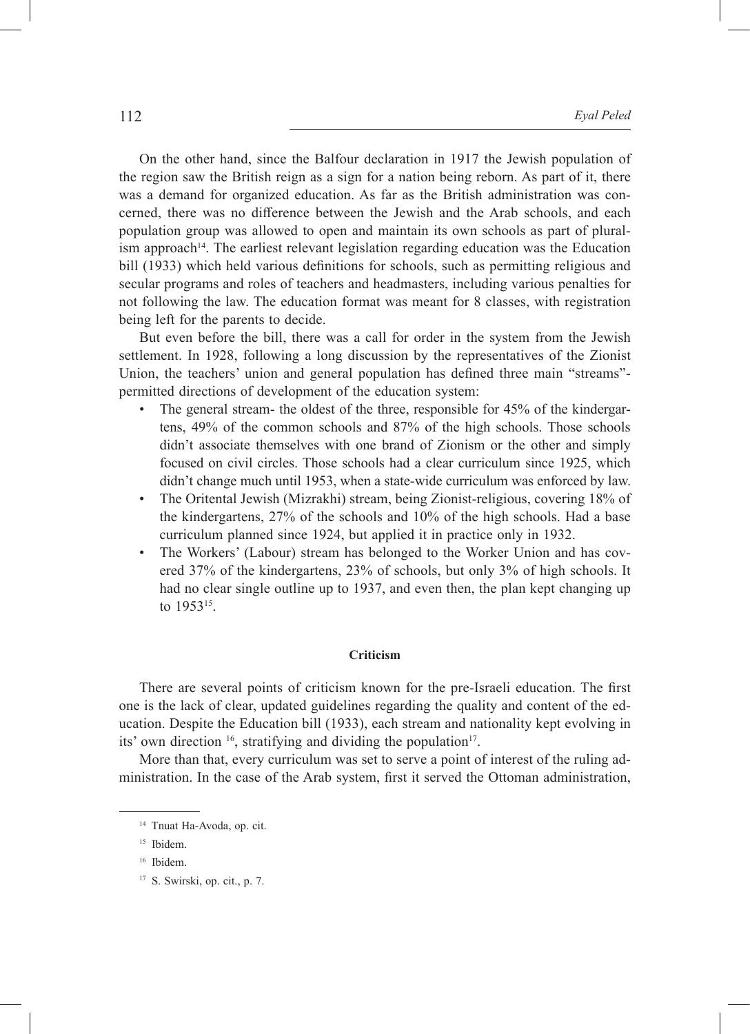On the other hand, since the Balfour declaration in 1917 the Jewish population of the region saw the British reign as a sign for a nation being reborn. As part of it, there was a demand for organized education. As far as the British administration was concerned, there was no difference between the Jewish and the Arab schools, and each population group was allowed to open and maintain its own schools as part of plural $i$ sm approach<sup>14</sup>. The earliest relevant legislation regarding education was the Education bill (1933) which held various definitions for schools, such as permitting religious and secular programs and roles of teachers and headmasters, including various penalties for not following the law. The education format was meant for 8 classes, with registration being left for the parents to decide.

But even before the bill, there was a call for order in the system from the Jewish settlement. In 1928, following a long discussion by the representatives of the Zionist Union, the teachers' union and general population has defined three main "streams" permitted directions of development of the education system:

- The general stream- the oldest of the three, responsible for 45% of the kindergartens, 49% of the common schools and 87% of the high schools. Those schools didn't associate themselves with one brand of Zionism or the other and simply focused on civil circles. Those schools had a clear curriculum since 1925, which didn't change much until 1953, when a state-wide curriculum was enforced by law.
- The Oritental Jewish (Mizrakhi) stream, being Zionist-religious, covering 18% of the kindergartens, 27% of the schools and 10% of the high schools. Had a base curriculum planned since 1924, but applied it in practice only in 1932.
- The Workers' (Labour) stream has belonged to the Worker Union and has covered 37% of the kindergartens, 23% of schools, but only 3% of high schools. It had no clear single outline up to 1937, and even then, the plan kept changing up to 195315.

## **Criticism**

There are several points of criticism known for the pre-Israeli education. The first one is the lack of clear, updated guidelines regarding the quality and content of the education. Despite the Education bill (1933), each stream and nationality kept evolving in its' own direction  $16$ , stratifying and dividing the population<sup>17</sup>.

More than that, every curriculum was set to serve a point of interest of the ruling administration. In the case of the Arab system, first it served the Ottoman administration,

<sup>14</sup> Tnuat Ha-Avoda, op. cit.

<sup>15</sup> Ibidem.

<sup>16</sup> Ibidem.

<sup>17</sup> S. Swirski, op. cit., p. 7.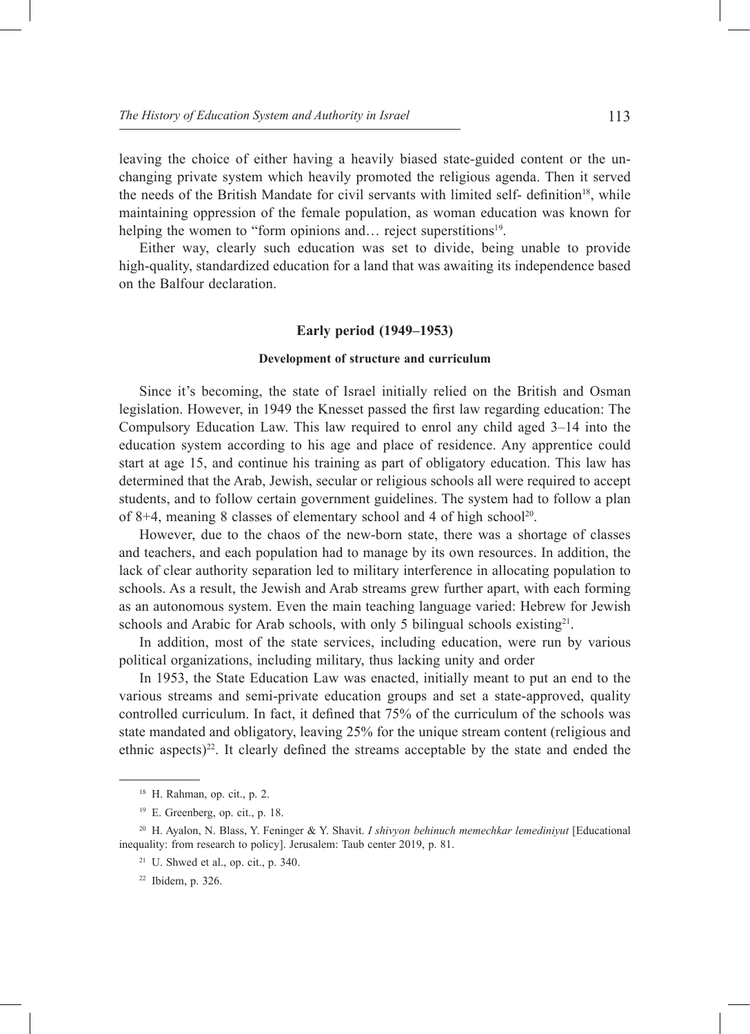leaving the choice of either having a heavily biased state-guided content or the unchanging private system which heavily promoted the religious agenda. Then it served the needs of the British Mandate for civil servants with limited self- definition<sup>18</sup>, while maintaining oppression of the female population, as woman education was known for helping the women to "form opinions and... reject superstitions<sup>19</sup>.

Either way, clearly such education was set to divide, being unable to provide high-quality, standardized education for a land that was awaiting its independence based on the Balfour declaration.

## **Early period (1949–1953)**

#### **Development of structure and curriculum**

Since it's becoming, the state of Israel initially relied on the British and Osman legislation. However, in 1949 the Knesset passed the first law regarding education: The Compulsory Education Law. This law required to enrol any child aged 3–14 into the education system according to his age and place of residence. Any apprentice could start at age 15, and continue his training as part of obligatory education. This law has determined that the Arab, Jewish, secular or religious schools all were required to accept students, and to follow certain government guidelines. The system had to follow a plan of 8+4, meaning 8 classes of elementary school and 4 of high school<sup>20</sup>.

However, due to the chaos of the new-born state, there was a shortage of classes and teachers, and each population had to manage by its own resources. In addition, the lack of clear authority separation led to military interference in allocating population to schools. As a result, the Jewish and Arab streams grew further apart, with each forming as an autonomous system. Even the main teaching language varied: Hebrew for Jewish schools and Arabic for Arab schools, with only 5 bilingual schools existing<sup>21</sup>.

In addition, most of the state services, including education, were run by various political organizations, including military, thus lacking unity and order

In 1953, the State Education Law was enacted, initially meant to put an end to the various streams and semi-private education groups and set a state-approved, quality controlled curriculum. In fact, it defined that 75% of the curriculum of the schools was state mandated and obligatory, leaving 25% for the unique stream content (religious and ethnic aspects)<sup>22</sup>. It clearly defined the streams acceptable by the state and ended the

<sup>18</sup> H. Rahman, op. cit., p. 2.

<sup>19</sup> E. Greenberg, op. cit., p. 18.

<sup>20</sup> H. Ayalon, N. Blass, Y. Feninger & Y. Shavit. *I shivyon behinuch memechkar lemediniyut* [Educational inequality: from research to policy]. Jerusalem: Taub center 2019, p. 81.

 $21$  U. Shwed et al., op. cit., p. 340.

<sup>22</sup> Ibidem, p. 326.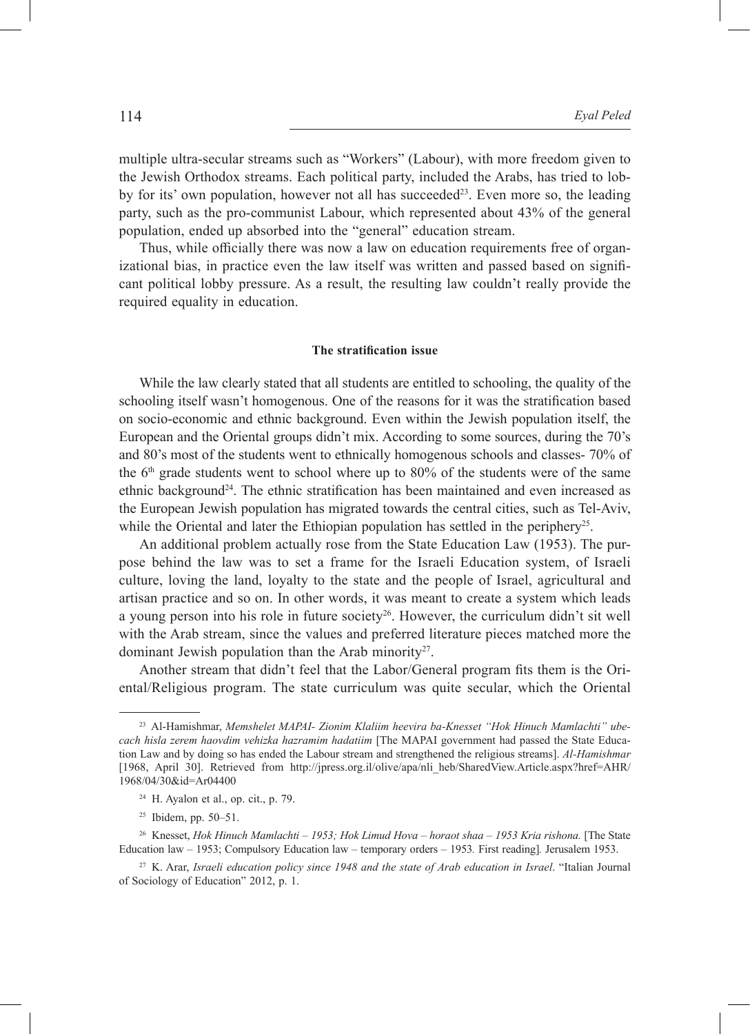multiple ultra-secular streams such as "Workers" (Labour), with more freedom given to the Jewish Orthodox streams. Each political party, included the Arabs, has tried to lobby for its' own population, however not all has succeeded<sup>23</sup>. Even more so, the leading party, such as the pro-communist Labour, which represented about 43% of the general population, ended up absorbed into the "general" education stream.

Thus, while officially there was now a law on education requirements free of organizational bias, in practice even the law itself was written and passed based on significant political lobby pressure. As a result, the resulting law couldn't really provide the required equality in education.

### **The stratification issue**

While the law clearly stated that all students are entitled to schooling, the quality of the schooling itself wasn't homogenous. One of the reasons for it was the stratification based on socio-economic and ethnic background. Even within the Jewish population itself, the European and the Oriental groups didn't mix. According to some sources, during the 70's and 80's most of the students went to ethnically homogenous schools and classes- 70% of the  $6<sup>th</sup>$  grade students went to school where up to 80% of the students were of the same ethnic background<sup>24</sup>. The ethnic stratification has been maintained and even increased as the European Jewish population has migrated towards the central cities, such as Tel-Aviv, while the Oriental and later the Ethiopian population has settled in the periphery<sup>25</sup>.

An additional problem actually rose from the State Education Law (1953). The purpose behind the law was to set a frame for the Israeli Education system, of Israeli culture, loving the land, loyalty to the state and the people of Israel, agricultural and artisan practice and so on. In other words, it was meant to create a system which leads a young person into his role in future society<sup>26</sup>. However, the curriculum didn't sit well with the Arab stream, since the values and preferred literature pieces matched more the dominant Jewish population than the Arab minority<sup>27</sup>.

Another stream that didn't feel that the Labor/General program fits them is the Oriental/Religious program. The state curriculum was quite secular, which the Oriental

<sup>23</sup> Al-Hamishmar, *Memshelet MAPAI- Zionim Klaliim heevira ba-Knesset "Hok Hinuch Mamlachti" ubecach hisla zerem haovdim vehizka hazramim hadatiim* [The MAPAI government had passed the State Education Law and by doing so has ended the Labour stream and strengthened the religious streams]. *Al-Hamishmar*  [1968, April 30]. Retrieved from http://jpress.org.il/olive/apa/nli\_heb/SharedView.Article.aspx?href=AHR/ 1968/04/30&id=Ar04400

<sup>&</sup>lt;sup>24</sup> H. Ayalon et al., op. cit., p. 79.

 $25$  Ibidem, pp. 50–51.

<sup>&</sup>lt;sup>26</sup> Knesset, *Hok Hinuch Mamlachti – 1953; Hok Limud Hova – horaot shaa – 1953 Kria rishona.* [The State Education law – 1953; Compulsory Education law – temporary orders – 1953*.* First reading]*.* Jerusalem 1953.

<sup>27</sup> K. Arar, *Israeli education policy since 1948 and the state of Arab education in Israel*. "Italian Journal of Sociology of Education" 2012, p. 1.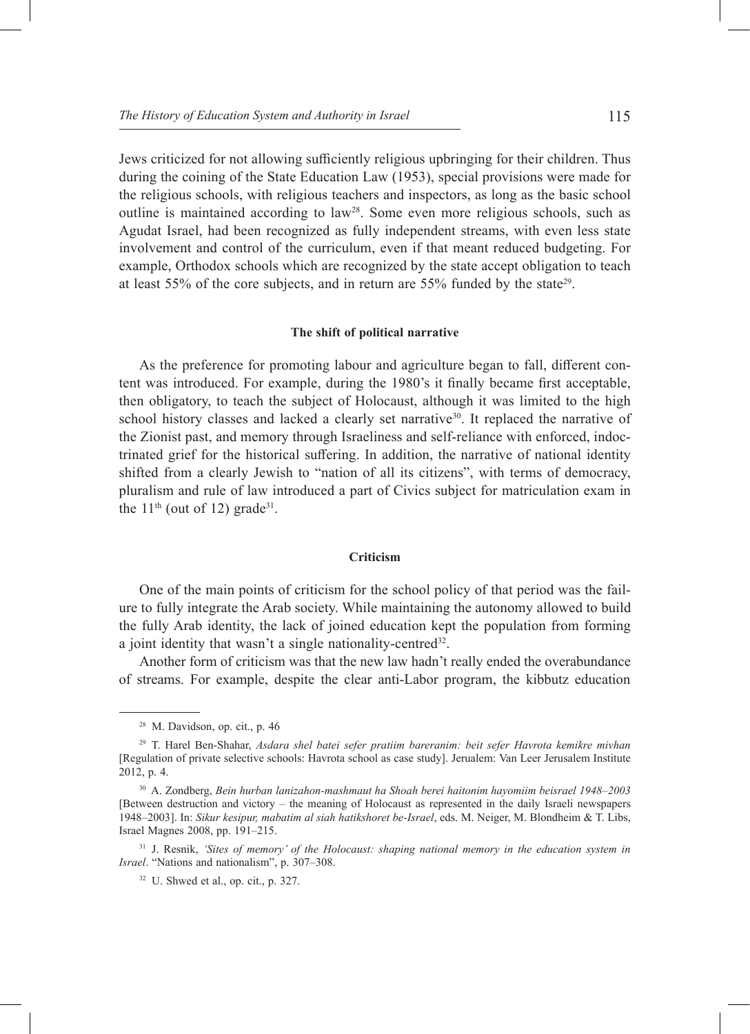Jews criticized for not allowing sufficiently religious upbringing for their children. Thus during the coining of the State Education Law (1953), special provisions were made for the religious schools, with religious teachers and inspectors, as long as the basic school outline is maintained according to  $law<sup>28</sup>$ . Some even more religious schools, such as Agudat Israel, had been recognized as fully independent streams, with even less state involvement and control of the curriculum, even if that meant reduced budgeting. For example, Orthodox schools which are recognized by the state accept obligation to teach at least  $55\%$  of the core subjects, and in return are  $55\%$  funded by the state<sup>29</sup>.

## **The shift of political narrative**

As the preference for promoting labour and agriculture began to fall, different content was introduced. For example, during the 1980's it finally became first acceptable, then obligatory, to teach the subject of Holocaust, although it was limited to the high school history classes and lacked a clearly set narrative<sup>30</sup>. It replaced the narrative of the Zionist past, and memory through Israeliness and self-reliance with enforced, indoctrinated grief for the historical suffering. In addition, the narrative of national identity shifted from a clearly Jewish to "nation of all its citizens", with terms of democracy, pluralism and rule of law introduced a part of Civics subject for matriculation exam in the  $11<sup>th</sup>$  (out of 12) grade<sup>31</sup>.

### **Criticism**

One of the main points of criticism for the school policy of that period was the failure to fully integrate the Arab society. While maintaining the autonomy allowed to build the fully Arab identity, the lack of joined education kept the population from forming a joint identity that wasn't a single nationality-centred<sup>32</sup>.

Another form of criticism was that the new law hadn't really ended the overabundance of streams. For example, despite the clear anti-Labor program, the kibbutz education

<sup>28</sup> M. Davidson, op. cit., p. 46

<sup>29</sup> T. Harel Ben-Shahar, *Asdara shel batei sefer pratiim bareranim: beit sefer Havrota kemikre mivhan* [Regulation of private selective schools: Havrota school as case study]. Jerualem: Van Leer Jerusalem Institute 2012, p. 4.

<sup>30</sup> A. Zondberg, *Bein hurban lanizahon-mashmaut ha Shoah berei haitonim hayomiim beisrael 1948–2003* [Between destruction and victory – the meaning of Holocaust as represented in the daily Israeli newspapers 1948–2003]. In: *Sikur kesipur, mabatim al siah hatikshoret be-Israel*, eds. M. Neiger, M. Blondheim & T. Libs, Israel Magnes 2008, pp. 191–215.

<sup>31</sup> J. Resnik, *'Sites of memory' of the Holocaust: shaping national memory in the education system in Israel*. "Nations and nationalism", p. 307–308.

 $32$  U. Shwed et al., op. cit., p. 327.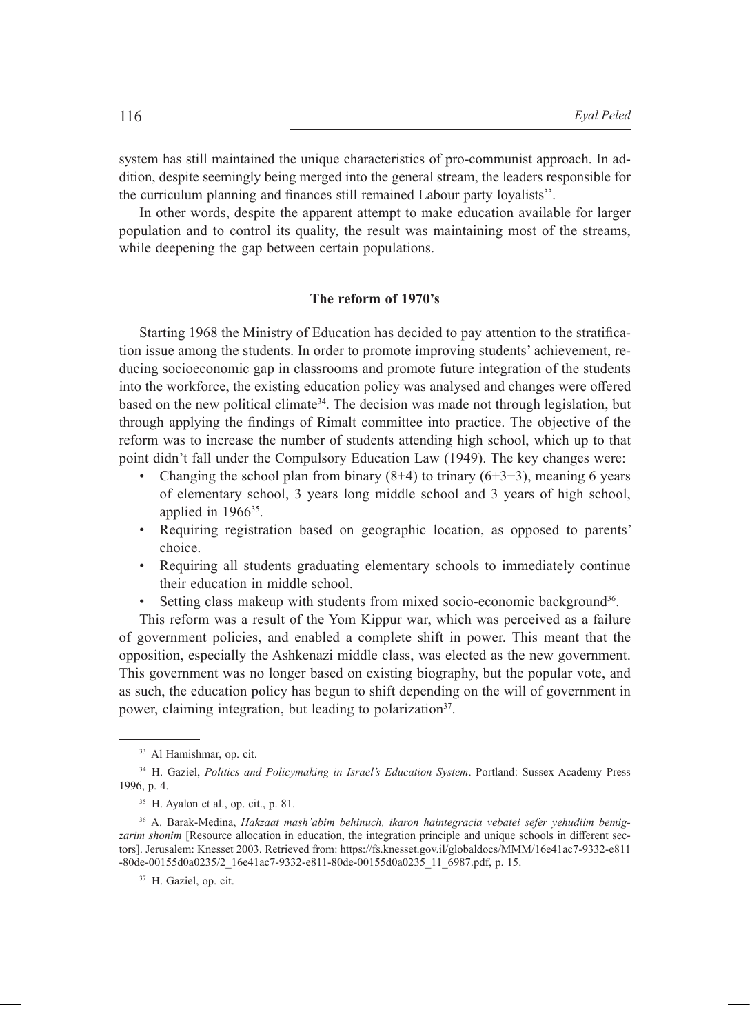system has still maintained the unique characteristics of pro-communist approach. In addition, despite seemingly being merged into the general stream, the leaders responsible for the curriculum planning and finances still remained Labour party loyalists<sup>33</sup>.

In other words, despite the apparent attempt to make education available for larger population and to control its quality, the result was maintaining most of the streams, while deepening the gap between certain populations.

## **The reform of 1970's**

Starting 1968 the Ministry of Education has decided to pay attention to the stratification issue among the students. In order to promote improving students' achievement, reducing socioeconomic gap in classrooms and promote future integration of the students into the workforce, the existing education policy was analysed and changes were offered based on the new political climate<sup>34</sup>. The decision was made not through legislation, but through applying the findings of Rimalt committee into practice. The objective of the reform was to increase the number of students attending high school, which up to that point didn't fall under the Compulsory Education Law (1949). The key changes were:

- Changing the school plan from binary  $(8+4)$  to trinary  $(6+3+3)$ , meaning 6 years of elementary school, 3 years long middle school and 3 years of high school, applied in 196635.
- Requiring registration based on geographic location, as opposed to parents' choice.
- Requiring all students graduating elementary schools to immediately continue their education in middle school.
- Setting class makeup with students from mixed socio-economic background<sup>36</sup>.

This reform was a result of the Yom Kippur war, which was perceived as a failure of government policies, and enabled a complete shift in power. This meant that the opposition, especially the Ashkenazi middle class, was elected as the new government. This government was no longer based on existing biography, but the popular vote, and as such, the education policy has begun to shift depending on the will of government in power, claiming integration, but leading to polarization<sup>37</sup>.

<sup>33</sup> Al Hamishmar, op. cit.

<sup>34</sup> H. Gaziel, *Politics and Policymaking in Israel's Education System*. Portland: Sussex Academy Press 1996, p. 4.

<sup>35</sup> H. Ayalon et al., op. cit., p. 81.

<sup>36</sup> A. Barak-Medina, *Hakzaat mash'abim behinuch, ikaron haintegracia vebatei sefer yehudiim bemigzarim shonim* [Resource allocation in education, the integration principle and unique schools in different sectors]. Jerusalem: Knesset 2003. Retrieved from: https://fs.knesset.gov.il/globaldocs/MMM/16e41ac7-9332-e811 -80de-00155d0a0235/2\_16e41ac7-9332-e811-80de-00155d0a0235\_11\_6987.pdf, p. 15.

<sup>&</sup>lt;sup>37</sup> H. Gaziel, op. cit.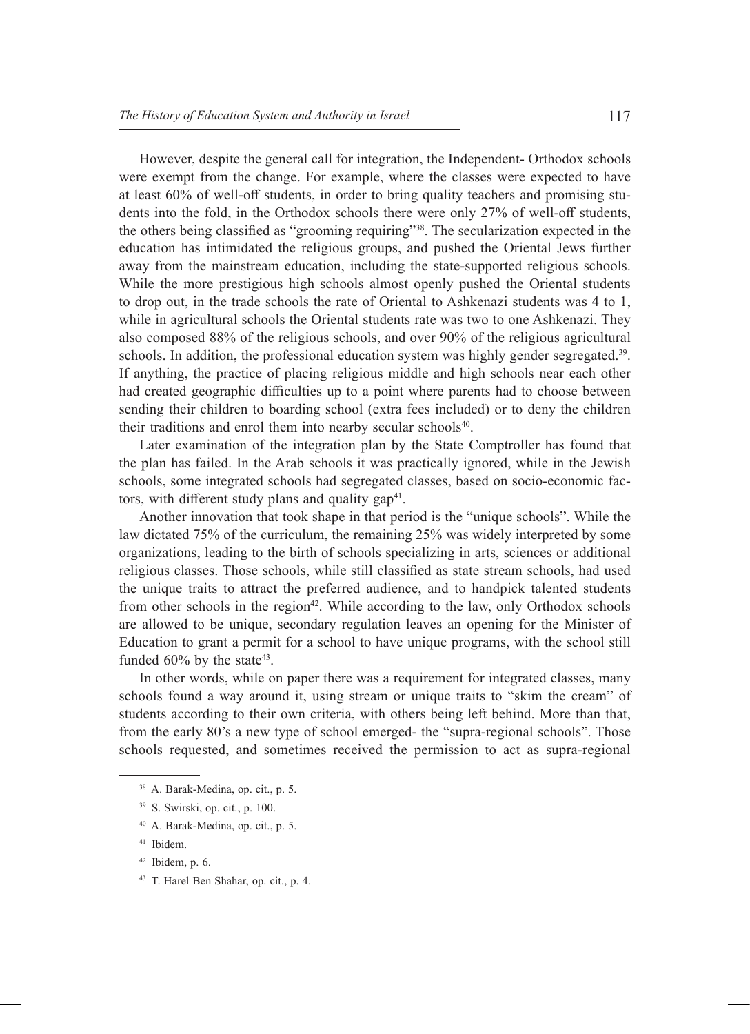However, despite the general call for integration, the Independent- Orthodox schools were exempt from the change. For example, where the classes were expected to have at least 60% of well-off students, in order to bring quality teachers and promising students into the fold, in the Orthodox schools there were only 27% of well-off students, the others being classified as "grooming requiring"<sup>38</sup>. The secularization expected in the education has intimidated the religious groups, and pushed the Oriental Jews further away from the mainstream education, including the state-supported religious schools. While the more prestigious high schools almost openly pushed the Oriental students to drop out, in the trade schools the rate of Oriental to Ashkenazi students was 4 to 1, while in agricultural schools the Oriental students rate was two to one Ashkenazi. They also composed 88% of the religious schools, and over 90% of the religious agricultural schools. In addition, the professional education system was highly gender segregated.39. If anything, the practice of placing religious middle and high schools near each other had created geographic difficulties up to a point where parents had to choose between sending their children to boarding school (extra fees included) or to deny the children their traditions and enrol them into nearby secular schools<sup>40</sup>.

Later examination of the integration plan by the State Comptroller has found that the plan has failed. In the Arab schools it was practically ignored, while in the Jewish schools, some integrated schools had segregated classes, based on socio-economic factors, with different study plans and quality  $gap<sup>41</sup>$ .

Another innovation that took shape in that period is the "unique schools". While the law dictated 75% of the curriculum, the remaining 25% was widely interpreted by some organizations, leading to the birth of schools specializing in arts, sciences or additional religious classes. Those schools, while still classified as state stream schools, had used the unique traits to attract the preferred audience, and to handpick talented students from other schools in the region<sup>42</sup>. While according to the law, only Orthodox schools are allowed to be unique, secondary regulation leaves an opening for the Minister of Education to grant a permit for a school to have unique programs, with the school still funded  $60\%$  by the state<sup>43</sup>.

In other words, while on paper there was a requirement for integrated classes, many schools found a way around it, using stream or unique traits to "skim the cream" of students according to their own criteria, with others being left behind. More than that, from the early 80's a new type of school emerged- the "supra-regional schools". Those schools requested, and sometimes received the permission to act as supra-regional

- <sup>40</sup> A. Barak-Medina, op. cit., p. 5.
- <sup>41</sup> Ibidem.
- $42$  Ibidem, p. 6.
- <sup>43</sup> T. Harel Ben Shahar, op. cit., p. 4.

<sup>38</sup> A. Barak-Medina, op. cit., p. 5.

<sup>39</sup> S. Swirski, op. cit., p. 100.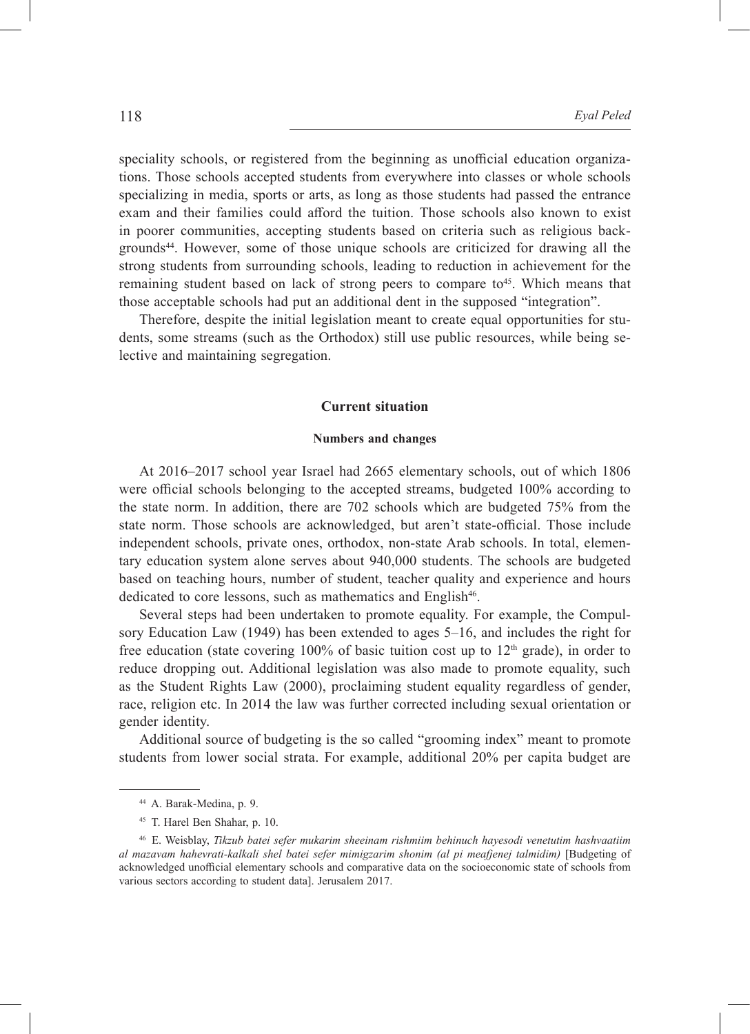speciality schools, or registered from the beginning as unofficial education organizations. Those schools accepted students from everywhere into classes or whole schools specializing in media, sports or arts, as long as those students had passed the entrance exam and their families could afford the tuition. Those schools also known to exist in poorer communities, accepting students based on criteria such as religious backgrounds<sup>44</sup>. However, some of those unique schools are criticized for drawing all the strong students from surrounding schools, leading to reduction in achievement for the remaining student based on lack of strong peers to compare to<sup>45</sup>. Which means that those acceptable schools had put an additional dent in the supposed "integration".

Therefore, despite the initial legislation meant to create equal opportunities for students, some streams (such as the Orthodox) still use public resources, while being selective and maintaining segregation.

## **Current situation**

#### **Numbers and changes**

At 2016–2017 school year Israel had 2665 elementary schools, out of which 1806 were official schools belonging to the accepted streams, budgeted 100% according to the state norm. In addition, there are 702 schools which are budgeted 75% from the state norm. Those schools are acknowledged, but aren't state-official. Those include independent schools, private ones, orthodox, non-state Arab schools. In total, elementary education system alone serves about 940,000 students. The schools are budgeted based on teaching hours, number of student, teacher quality and experience and hours dedicated to core lessons, such as mathematics and English<sup>46</sup>.

Several steps had been undertaken to promote equality. For example, the Compulsory Education Law (1949) has been extended to ages 5–16, and includes the right for free education (state covering 100% of basic tuition cost up to  $12<sup>th</sup>$  grade), in order to reduce dropping out. Additional legislation was also made to promote equality, such as the Student Rights Law (2000), proclaiming student equality regardless of gender, race, religion etc. In 2014 the law was further corrected including sexual orientation or gender identity.

Additional source of budgeting is the so called "grooming index" meant to promote students from lower social strata. For example, additional 20% per capita budget are

<sup>44</sup> A. Barak-Medina, p. 9.

<sup>45</sup> T. Harel Ben Shahar, p. 10.

<sup>46</sup> E. Weisblay, *Tikzub batei sefer mukarim sheeinam rishmiim behinuch hayesodi venetutim hashvaatiim al mazavam hahevrati-kalkali shel batei sefer mimigzarim shonim (al pi meafjenej talmidim)* [Budgeting of acknowledged unofficial elementary schools and comparative data on the socioeconomic state of schools from various sectors according to student data]. Jerusalem 2017.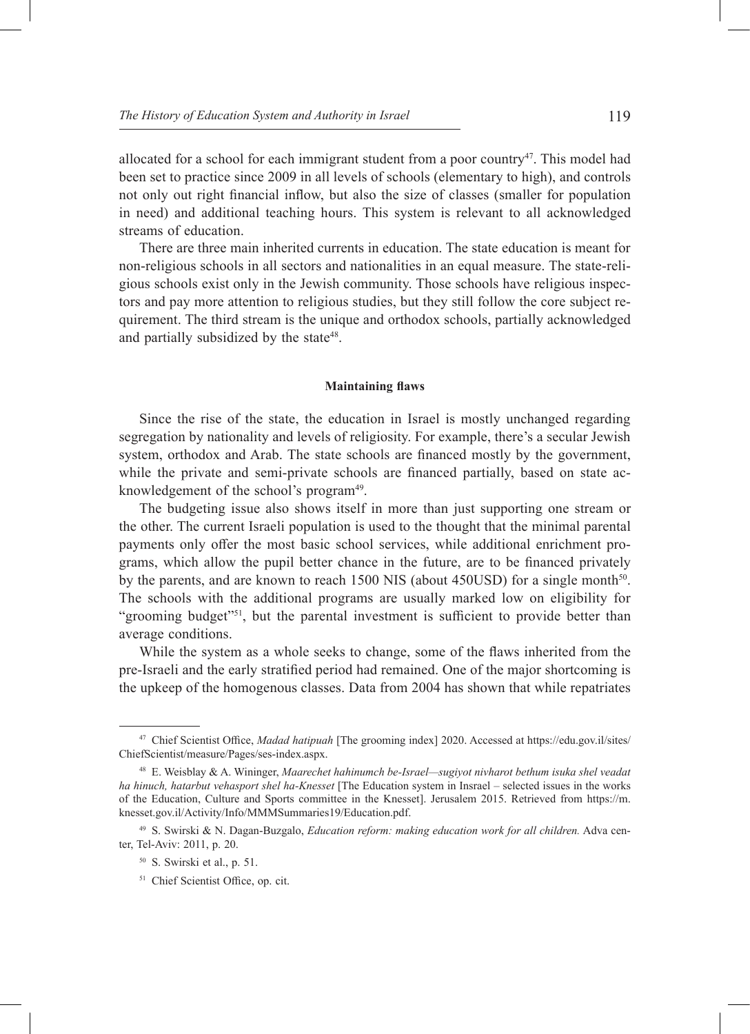allocated for a school for each immigrant student from a poor country<sup>47</sup>. This model had been set to practice since 2009 in all levels of schools (elementary to high), and controls not only out right financial inflow, but also the size of classes (smaller for population in need) and additional teaching hours. This system is relevant to all acknowledged streams of education.

There are three main inherited currents in education. The state education is meant for non-religious schools in all sectors and nationalities in an equal measure. The state-religious schools exist only in the Jewish community. Those schools have religious inspectors and pay more attention to religious studies, but they still follow the core subject requirement. The third stream is the unique and orthodox schools, partially acknowledged and partially subsidized by the state<sup>48</sup>.

#### **Maintaining flaws**

Since the rise of the state, the education in Israel is mostly unchanged regarding segregation by nationality and levels of religiosity. For example, there's a secular Jewish system, orthodox and Arab. The state schools are financed mostly by the government, while the private and semi-private schools are financed partially, based on state acknowledgement of the school's program<sup>49</sup>.

The budgeting issue also shows itself in more than just supporting one stream or the other. The current Israeli population is used to the thought that the minimal parental payments only offer the most basic school services, while additional enrichment programs, which allow the pupil better chance in the future, are to be financed privately by the parents, and are known to reach 1500 NIS (about 450USD) for a single month<sup>50</sup>. The schools with the additional programs are usually marked low on eligibility for "grooming budget"<sup>51</sup>, but the parental investment is sufficient to provide better than average conditions.

While the system as a whole seeks to change, some of the flaws inherited from the pre-Israeli and the early stratified period had remained. One of the major shortcoming is the upkeep of the homogenous classes. Data from 2004 has shown that while repatriates

<sup>47</sup> Chief Scientist Office, *Madad hatipuah* [The grooming index] 2020. Accessed at https://edu.gov.il/sites/ ChiefScientist/measure/Pages/ses-index.aspx.

<sup>48</sup> E. Weisblay & A. Wininger, *Maarechet hahinumch be-Israel—sugiyot nivharot bethum isuka shel veadat ha hinuch, hatarbut vehasport shel ha-Knesset* [The Education system in Insrael – selected issues in the works of the Education, Culture and Sports committee in the Knesset]. Jerusalem 2015. Retrieved from https://m. knesset.gov.il/Activity/Info/MMMSummaries19/Education.pdf.

<sup>49</sup> S. Swirski & N. Dagan-Buzgalo, *Education reform: making education work for all children.* Adva center, Tel-Aviv: 2011, p. 20.

<sup>50</sup> S. Swirski et al., p. 51.

<sup>&</sup>lt;sup>51</sup> Chief Scientist Office, op. cit.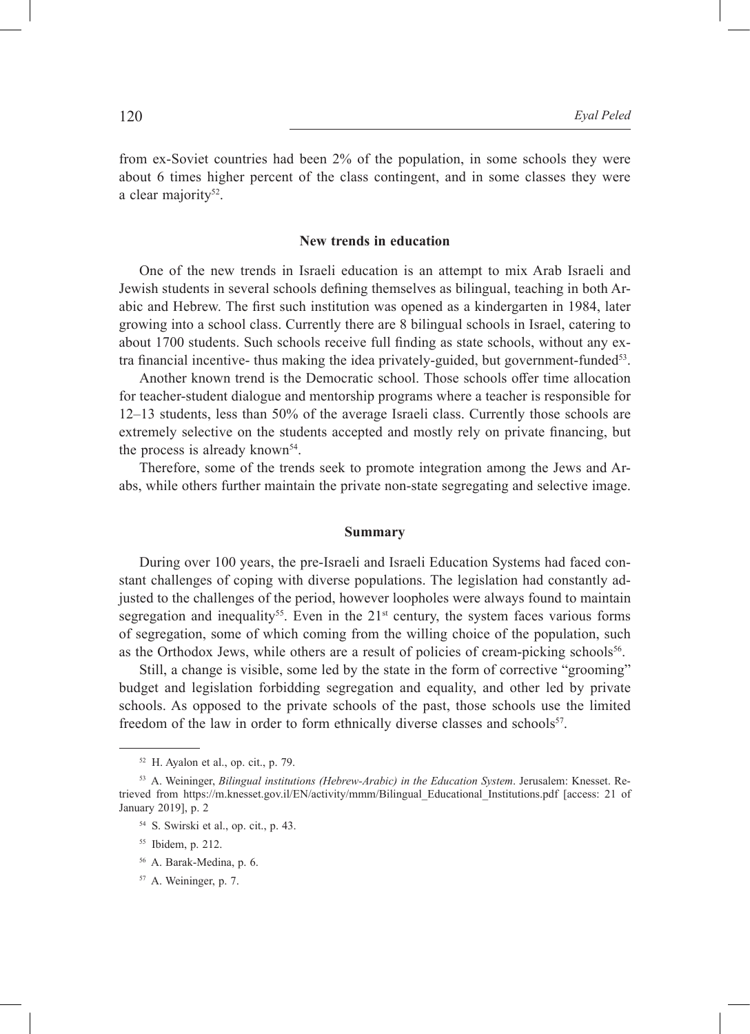from ex-Soviet countries had been 2% of the population, in some schools they were about 6 times higher percent of the class contingent, and in some classes they were a clear majority<sup>52</sup>.

## **New trends in education**

One of the new trends in Israeli education is an attempt to mix Arab Israeli and Jewish students in several schools defining themselves as bilingual, teaching in both Arabic and Hebrew. The first such institution was opened as a kindergarten in 1984, later growing into a school class. Currently there are 8 bilingual schools in Israel, catering to about 1700 students. Such schools receive full finding as state schools, without any extra financial incentive- thus making the idea privately-guided, but government-funded $53$ .

Another known trend is the Democratic school. Those schools offer time allocation for teacher-student dialogue and mentorship programs where a teacher is responsible for 12–13 students, less than 50% of the average Israeli class. Currently those schools are extremely selective on the students accepted and mostly rely on private financing, but the process is already known<sup>54</sup>.

Therefore, some of the trends seek to promote integration among the Jews and Arabs, while others further maintain the private non-state segregating and selective image.

## **Summary**

During over 100 years, the pre-Israeli and Israeli Education Systems had faced constant challenges of coping with diverse populations. The legislation had constantly adjusted to the challenges of the period, however loopholes were always found to maintain segregation and inequality<sup>55</sup>. Even in the  $21<sup>st</sup>$  century, the system faces various forms of segregation, some of which coming from the willing choice of the population, such as the Orthodox Jews, while others are a result of policies of cream-picking schools<sup>56</sup>.

Still, a change is visible, some led by the state in the form of corrective "grooming" budget and legislation forbidding segregation and equality, and other led by private schools. As opposed to the private schools of the past, those schools use the limited freedom of the law in order to form ethnically diverse classes and schools<sup>57</sup>.

 $52$  H. Ayalon et al., op. cit., p. 79.

<sup>53</sup> A. Weininger, *Bilingual institutions (Hebrew-Arabic) in the Education System*. Jerusalem: Knesset. Retrieved from https://m.knesset.gov.il/EN/activity/mmm/Bilingual\_Educational\_Institutions.pdf [access: 21 of January 2019], p. 2

<sup>54</sup> S. Swirski et al., op. cit., p. 43.

<sup>55</sup> Ibidem, p. 212.

<sup>56</sup> A. Barak-Medina, p. 6.

<sup>57</sup> A. Weininger, p. 7.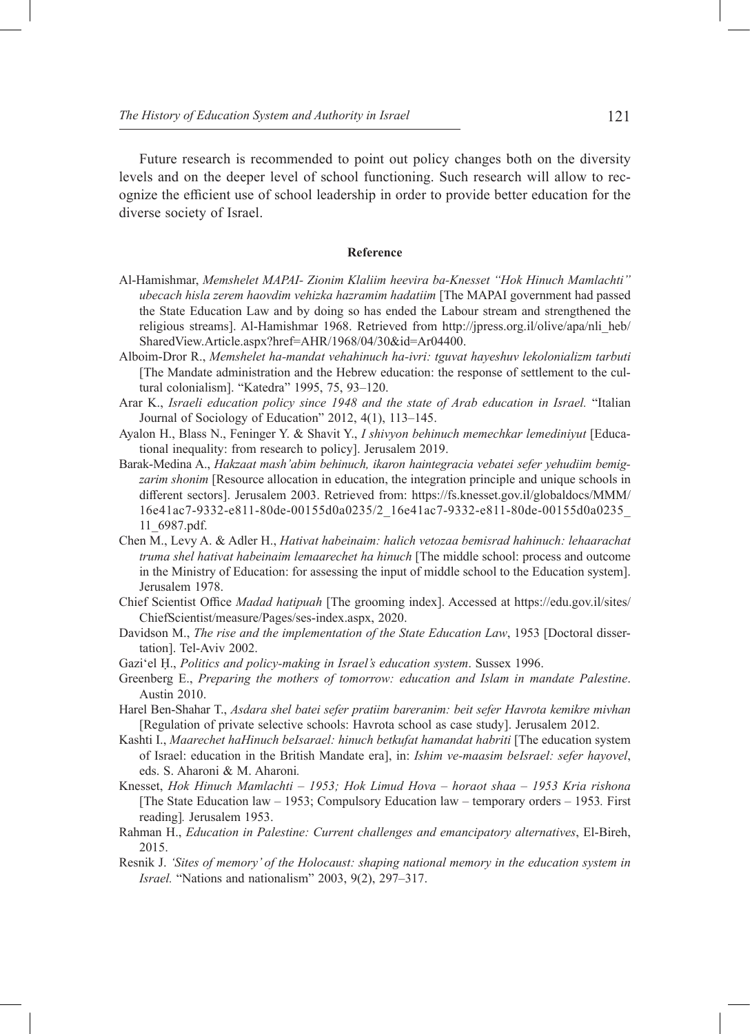Future research is recommended to point out policy changes both on the diversity levels and on the deeper level of school functioning. Such research will allow to recognize the efficient use of school leadership in order to provide better education for the diverse society of Israel.

#### **Reference**

- Al-Hamishmar, *Memshelet MAPAI- Zionim Klaliim heevira ba-Knesset "Hok Hinuch Mamlachti" ubecach hisla zerem haovdim vehizka hazramim hadatiim* [The MAPAI government had passed the State Education Law and by doing so has ended the Labour stream and strengthened the religious streams]. Al-Hamishmar 1968. Retrieved from http://jpress.org.il/olive/apa/nli\_heb/ SharedView.Article.aspx?href=AHR/1968/04/30&id=Ar04400.
- Alboim-Dror R., *Memshelet ha-mandat vehahinuch ha-ivri: tguvat hayeshuv lekolonializm tarbuti* [The Mandate administration and the Hebrew education: the response of settlement to the cultural colonialism]. "Katedra" 1995, 75, 93–120.
- Arar K., *Israeli education policy since 1948 and the state of Arab education in Israel.* "Italian Journal of Sociology of Education" 2012, 4(1), 113–145.
- Ayalon H., Blass N., Feninger Y. & Shavit Y., *I shivyon behinuch memechkar lemediniyut* [Educational inequality: from research to policy]. Jerusalem 2019.
- Barak-Medina A., *Hakzaat mash'abim behinuch, ikaron haintegracia vebatei sefer yehudiim bemigzarim shonim* [Resource allocation in education, the integration principle and unique schools in different sectors]. Jerusalem 2003. Retrieved from: https://fs.knesset.gov.il/globaldocs/MMM/ 16e41ac7-9332-e811-80de-00155d0a0235/2\_16e41ac7-9332-e811-80de-00155d0a0235\_ 11\_6987.pdf.
- Chen M., Levy A. & Adler H., *Hativat habeinaim: halich vetozaa bemisrad hahinuch: lehaarachat truma shel hativat habeinaim lemaarechet ha hinuch* [The middle school: process and outcome in the Ministry of Education: for assessing the input of middle school to the Education system]. Jerusalem 1978.
- Chief Scientist Office *Madad hatipuah* [The grooming index]. Accessed at https://edu.gov.il/sites/ ChiefScientist/measure/Pages/ses-index.aspx, 2020.
- Davidson M., *The rise and the implementation of the State Education Law*, 1953 [Doctoral dissertation]. Tel-Aviv 2002.
- Gaziʻel Ḥ., *Politics and policy-making in Israel's education system*. Sussex 1996.
- Greenberg E., *Preparing the mothers of tomorrow: education and Islam in mandate Palestine*. Austin 2010.
- Harel Ben-Shahar T., *Asdara shel batei sefer pratiim bareranim: beit sefer Havrota kemikre mivhan* [Regulation of private selective schools: Havrota school as case study]. Jerusalem 2012.
- Kashti I., *Maarechet haHinuch beIsarael: hinuch betkufat hamandat habriti* [The education system of Israel: education in the British Mandate era], in: *Ishim ve-maasim beIsrael: sefer hayovel*, eds. S. Aharoni & M. Aharoni*.*
- Knesset, *Hok Hinuch Mamlachti 1953; Hok Limud Hova horaot shaa 1953 Kria rishona*  [The State Education law – 1953; Compulsory Education law – temporary orders – 1953*.* First reading]*.* Jerusalem 1953.
- Rahman H., *Education in Palestine: Current challenges and emancipatory alternatives*, El-Bireh, 2015.
- Resnik J. *'Sites of memory' of the Holocaust: shaping national memory in the education system in Israel.* "Nations and nationalism" 2003, 9(2), 297–317.